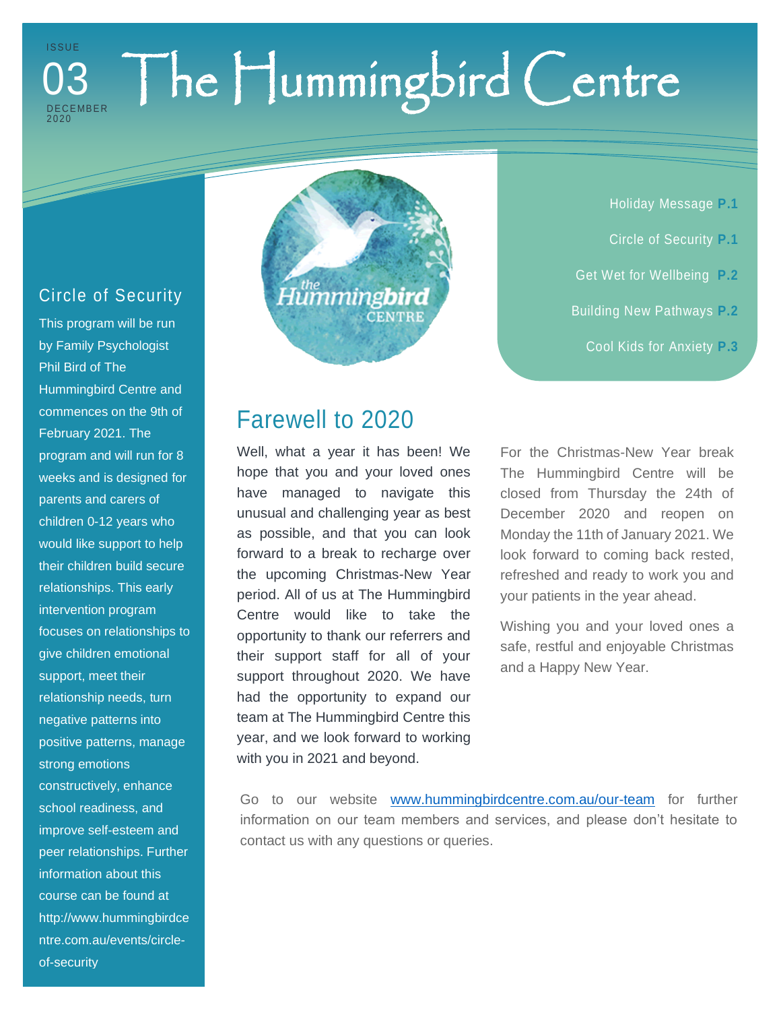#### The Hummingbird Centre I S S U E D E C E MB E R 2020 03

#### Circle of Security

This program will be run by Family Psychologist Phil Bird of The Hummingbird Centre and commences on the 9th of February 2021. The program and will run for 8 weeks and is designed for parents and carers of children 0-12 years who would like support to help their children build secure relationships. This early intervention program focuses on relationships to give children emotional support, meet their relationship needs, turn negative patterns into positive patterns, manage strong emotions constructively, enhance school readiness, and improve self-esteem and peer relationships. Further information about this course can be found at http://www.hummingbirdce ntre.com.au/events/circleof-security

# .<br>Humming**bird CENTRE**

Holiday Message **P.1** Circle of Security **P.1**

- Get Wet for Wellbeing **P.2**
- Building New Pathways **P.2**
	- Cool Kids for Anxiety **P.3**

## Farewell to 2020

Well, what a year it has been! We hope that you and your loved ones have managed to navigate this unusual and challenging year as best as possible, and that you can look forward to a break to recharge over the upcoming Christmas-New Year period. All of us at The Hummingbird Centre would like to take the opportunity to thank our referrers and their support staff for all of your support throughout 2020. We have had the opportunity to expand our team at The Hummingbird Centre this year, and we look forward to working with you in 2021 and beyond.

For the Christmas-New Year break The Hummingbird Centre will be closed from Thursday the 24th of December 2020 and reopen on Monday the 11th of January 2021. We look forward to coming back rested, refreshed and ready to work you and your patients in the year ahead.

Wishing you and your loved ones a safe, restful and enjoyable Christmas and a Happy New Year.

Go to our website [www.hummingbirdcentre.com.au/our-team](file:///C:/Users/work/The%20Hummingbird%20Cntr%20Dropbox/Administration%20Folder/Marketing/Lisa%20Millar%20projects%20like%20Newsletters/Newsletters/www.hummingbirdcentre.com.au/our-team) for further information on our team members and services, and please don't hesitate to contact us with any questions or queries.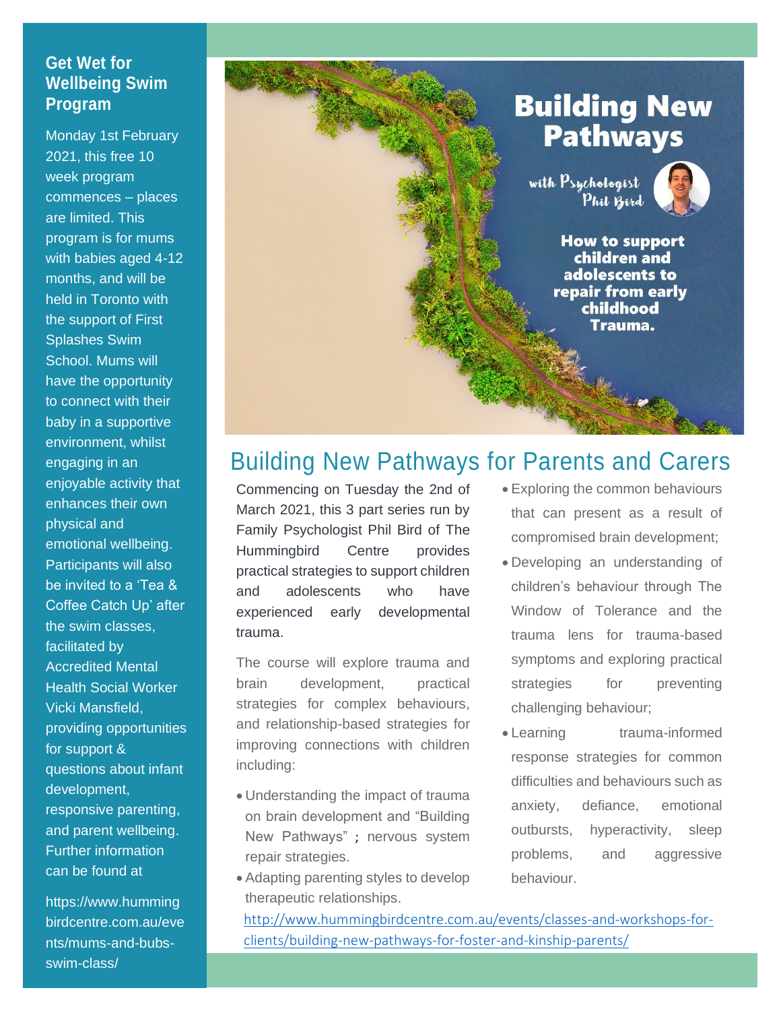#### **Get Wet for Wellbeing Swim Program**

Monday 1st February 2021, this free 10 week program commences – places are limited. This program is for mums with babies aged 4-12 months, and will be held in Toronto with the support of First Splashes Swim School. Mums will have the opportunity to connect with their baby in a supportive environment, whilst engaging in an enjoyable activity that enhances their own physical and emotional wellbeing. Participants will also be invited to a 'Tea & Coffee Catch Up' after the swim classes, facilitated by Accredited Mental Health Social Worker Vicki Mansfield, providing opportunities for support & questions about infant development, responsive parenting, and parent wellbeing. Further information can be found at

https://www.humming birdcentre.com.au/eve nts/mums-and-bubsswim-class/

## **Building New Pathways**

with Psychologist Phil Bird



**How to support** children and adolescents to repair from early childhood Trauma.

### Building New Pathways for Parents and Carers

Commencing on Tuesday the 2nd of March 2021, this 3 part series run by Family Psychologist Phil Bird of The Hummingbird Centre provides practical strategies to support children and adolescents who have experienced early developmental trauma.

The course will explore trauma and brain development, practical strategies for complex behaviours, and relationship-based strategies for improving connections with children including:

- Understanding the impact of trauma on brain development and "Building New Pathways" ; nervous system repair strategies.
- Adapting parenting styles to develop therapeutic relationships.

• Exploring the common behaviours that can present as a result of compromised brain development;

- Developing an understanding of children's behaviour through The Window of Tolerance and the trauma lens for trauma-based symptoms and exploring practical strategies for preventing challenging behaviour;
- Learning trauma-informed response strategies for common difficulties and behaviours such as anxiety, defiance, emotional outbursts, hyperactivity, sleep problems, and aggressive behaviour.

[http://www.hummingbirdcentre.com.au/events/classes-and-workshops-for](http://www.hummingbirdcentre.com.au/events/classes-and-workshops-for-clients/building-new-pathways-for-foster-and-kinship-parents/)[clients/building-new-pathways-for-foster-and-kinship-parents/](http://www.hummingbirdcentre.com.au/events/classes-and-workshops-for-clients/building-new-pathways-for-foster-and-kinship-parents/)